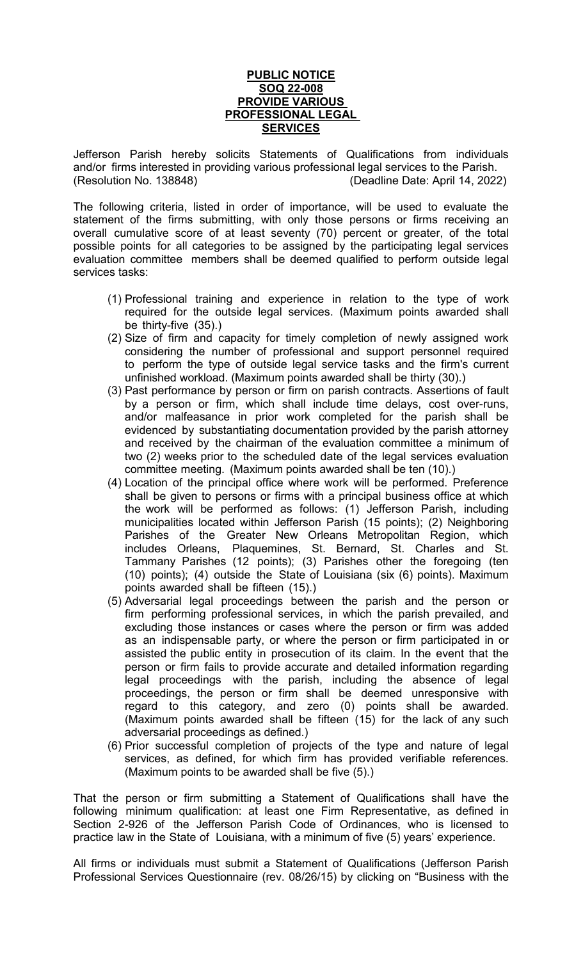## **PUBLIC NOTICE SOQ 22-008 PROVIDE VARIOUS PROFESSIONAL LEGAL SERVICES**

Jefferson Parish hereby solicits Statements of Qualifications from individuals and/or firms interested in providing various professional legal services to the Parish. (Resolution No. 138848) (Deadline Date: April 14, 2022)

The following criteria, listed in order of importance, will be used to evaluate the statement of the firms submitting, with only those persons or firms receiving an overall cumulative score of at least seventy (70) percent or greater, of the total possible points for all categories to be assigned by the participating legal services evaluation committee members shall be deemed qualified to perform outside legal services tasks:

- (1) Professional training and experience in relation to the type of work required for the outside legal services. (Maximum points awarded shall be thirty-five (35).)
- (2) Size of firm and capacity for timely completion of newly assigned work considering the number of professional and support personnel required to perform the type of outside legal service tasks and the firm's current unfinished workload. (Maximum points awarded shall be thirty (30).)
- (3) Past performance by person or firm on parish contracts. Assertions of fault by a person or firm, which shall include time delays, cost over-runs, and/or malfeasance in prior work completed for the parish shall be evidenced by substantiating documentation provided by the parish attorney and received by the chairman of the evaluation committee a minimum of two (2) weeks prior to the scheduled date of the legal services evaluation committee meeting. (Maximum points awarded shall be ten (10).)
- (4) Location of the principal office where work will be performed. Preference shall be given to persons or firms with a principal business office at which the work will be performed as follows: (1) Jefferson Parish, including municipalities located within Jefferson Parish (15 points); (2) Neighboring Parishes of the Greater New Orleans Metropolitan Region, which includes Orleans, Plaquemines, St. Bernard, St. Charles and St. Tammany Parishes (12 points); (3) Parishes other the foregoing (ten (10) points); (4) outside the State of Louisiana (six (6) points). Maximum points awarded shall be fifteen (15).)
- (5) Adversarial legal proceedings between the parish and the person or firm performing professional services, in which the parish prevailed, and excluding those instances or cases where the person or firm was added as an indispensable party, or where the person or firm participated in or assisted the public entity in prosecution of its claim. In the event that the person or firm fails to provide accurate and detailed information regarding legal proceedings with the parish, including the absence of legal proceedings, the person or firm shall be deemed unresponsive with regard to this category, and zero (0) points shall be awarded. (Maximum points awarded shall be fifteen (15) for the lack of any such adversarial proceedings as defined.)
- (6) Prior successful completion of projects of the type and nature of legal services, as defined, for which firm has provided verifiable references. (Maximum points to be awarded shall be five (5).)

That the person or firm submitting a Statement of Qualifications shall have the following minimum qualification: at least one Firm Representative, as defined in Section 2-926 of the Jefferson Parish Code of Ordinances, who is licensed to practice law in the State of Louisiana, with a minimum of five (5) years' experience.

All firms or individuals must submit a Statement of Qualifications (Jefferson Parish Professional Services Questionnaire (rev. 08/26/15) by clicking on "Business with the